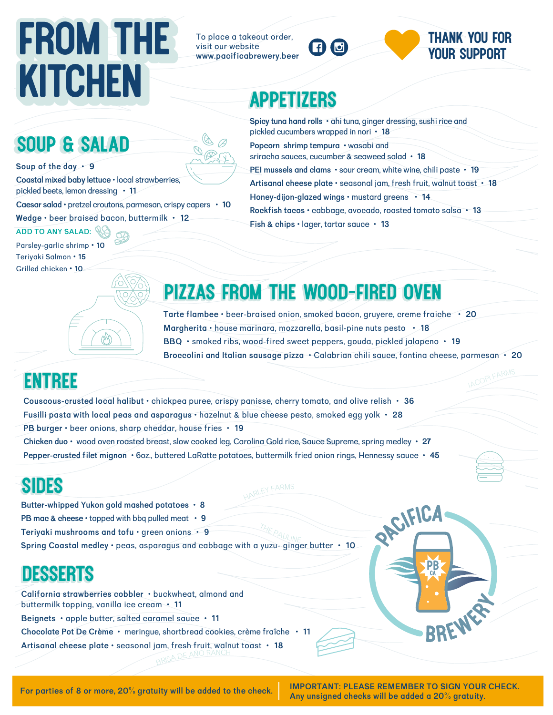# FROM THE To place a takeout order, **DO STHANK YOU FOR**<br> **KITCHEN** APPETIZERS **KITCHEN**

To place a takeout order. visit our website www.pacificabrewery.beer



# your support

## appetizers

|                                                               | pickled cucumbers wro                         |
|---------------------------------------------------------------|-----------------------------------------------|
| <b>SOUP &amp; SALAD</b>                                       | Popcorn shrimp temp<br>sriracha sauces, cucui |
| Soup of the day . 9                                           | PEI mussels and clam                          |
| Coastal mixed baby lettuce · local strawberries,              | <b>Artisanal cheese plat</b>                  |
| pickled beets, lemon dressing • 11                            | Honey-dijon-glazed w                          |
| Caesar salad · pretzel croutons, parmesan, crispy capers · 10 | Rockfish tacos · cabl                         |
| Wedge · beer braised bacon, buttermilk · 12                   |                                               |
|                                                               | Fish & chins . lager t                        |

**ADD TO ANY SALAD: Parsley-garlic shrimp • 10** Teriyaki Salmon • 15 Grilled chicken • 10

pical in nori **• 18 ura** • wasabi and mber & seaweed salad • **18 8** • sour cream, white wine, chili paste • **19**  $\textsf{re} \cdot \textsf{seasonal}$  jam, fresh fruit, walnut toast  $\cdot$  **18 ings** • mustard greens • 14 **o**age, avocado, roasted tomato salsa • **13 ish tartar squee • 13** 

**Spicy tung hand rolls**  $\cdot$  **ahi tung, ginger dressing, sushi rice and** 

## pizzas from the wood-fired oven pizzas from the wood-fired oven

**rarte flambee •** beer-braised onion, smoked bacon, gruyere, creme fraiche • 20 **Margherita •** house marinara, mozzarella, basil-pine nuts pesto • 18 **BBQ** • smoked ribs, wood-fired sweet peppers, gouda, pickled jalapeno • 19 *Broccolini and Italian sausage pizza* • Calabrian chili sauce, fontina cheese, parmesan • 20

## **ENTREE**

Couscous-crusted local halibut  $\cdot$  chickpea puree, crispy panisse, cherry tomato, and olive relish  $\cdot$ Fusilli pasta with local peas and asparagus  $\cdot$  hazelnut & blue cheese pesto, smoked egg yolk  $\cdot$ *PB* burger  $\cdot$  beer onions, sharp cheddar, house fries  $\cdot$ Chicken duo • wood oven roasted breast, slow cooked leg, Carolina Gold rice, Sauce Supreme, spring medley • 27

Pepper-crusted filet mignon  $\cdot$  6oz., buttered LaRatte potatoes, buttermilk fried onion rings, Hennessy sauce  $\cdot$  45

## sides

Butter-whipped Yukon gold mashed potatoes  $\cdot$  8  **PB** mac & cheese  $\cdot$  topped with bbq pulled meat  $\cdot$  9 **eriyki mushrooms nd tofu •** green onions **• 9**

**pring ostl medley •** pes, sprgus nd bbge with yuzu- ginger butter **• 10**

**ARISA DE AÑO R** 

## desserts

**California strawberries cobbler •** buckwheat, almond and buttermilk topping, vanilla ice cream  $\cdot$  11 **e**ignets  $\cdot$  apple butter, salted caramel sauce  $\cdot$  11 **Chocolate Pot De Crème • meringue, shortbread cookies, crème fraîche • 11**  $\textsf{Artis}$  cheese plate  $\cdot$  seasonal jam, fresh fruit, walnut toast  $\cdot$   $\textsf{ 18}$ 

IMPORTANT: PLEASE REMEMBER TO SIGN YOUR CHECK. Any unsigned checks will be added a 20% gratuity.

RAFICA

PB

BREWER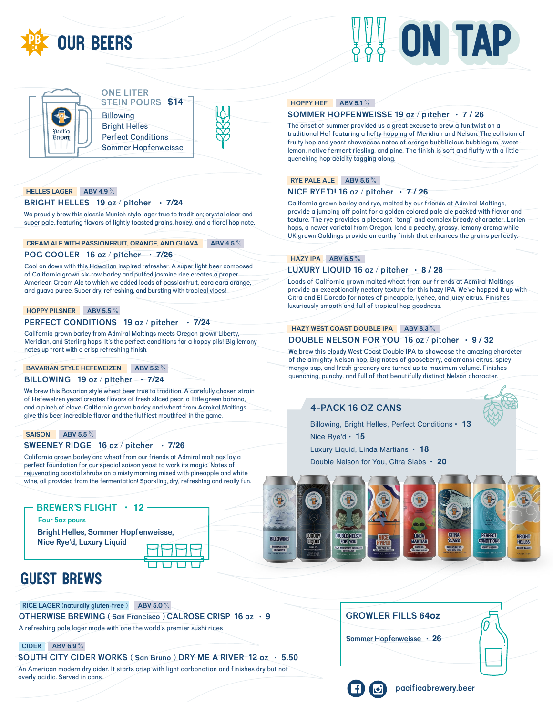





#### **ONE LITER STEIN POURS \$14**

**Billowing Bright Helles Perfect Conditions Sommer Hopfenweisse** 



#### **HELLES LAGER ABV 4.9%**

#### BRIGHT HELLES 19 oz / pitcher · 7/24

We proudly brew this classic Munich style lager true to tradition; crystal clear and super pale, featuring flavors of lightly toasted grains, honey, and a floral hop note.

#### CREAM ALE WITH PASSIONFRUIT, ORANGE, AND GUAVA ABV 4.5%

#### POG COOLER 16 oz / pitcher · 7/26

Cool on down with this Hawaiian inspired refresher. A super light beer composed of California grown six-row barley and puffed jasmine rice creates a proper American Cream Ale to which we added loads of passionfruit, cara cara orange, and quava puree. Super dry, refreshing, and bursting with tropical vibes!

#### HOPPY PILSNER ABV 5.5  $\%$

#### PERFECT CONDITIONS 19 oz / pitcher · 7/24

California grown barley from Admiral Maltings meets Oregon grown Liberty, Meridian, and Sterling hops. It's the perfect conditions for a hoppy pils! Big lemony notes up front with a crisp refreshing finish.

#### **BAVARIAN STYLE HEFEWEIZEN ABV 5.2 %**

#### BILLOWING 19 oz / pitcher - 7/24

We brew this Bavarian style wheat beer true to tradition. A carefully chosen strain of Hefeweizen yeast creates flavors of fresh sliced pear, a little green banana, and a pinch of clove. California grown barley and wheat from Admiral Maltings give this beer incredible flavor and the fluffiest mouthfeel in the game.

#### SAISON ABV 5.5 %

#### SWEENEY RIDGE 16 oz / pitcher · 7/26

California grown barley and wheat from our friends at Admiral maltings lay a perfect foundation for our special saison yeast to work its magic. Notes of rejuvenating coastal shrubs on a misty morning mixed with pineapple and white wine, all provided from the fermentation! Sparkling, dry, refreshing and really fun.

BREWER'S FLIGHT • 12

Four 5oz pours

**Bright Helles, Sommer Hopfenweisse,** Nice Rye'd, Luxury Liquid



### **GUEST BREWS**

RICE LAGER (naturally gluten-free ) ABV 5.0 % OTHERWISE BREWING (San Francisco) CALROSE CRISP 16 oz · 9 A refreshing pale lager made with one the world's premier sushi rices

#### **CIDER ABV 6.9 %**

SOUTH CITY CIDER WORKS (San Bruno) DRY ME A RIVER 12 oz · 5.50 An American modern dry cider. It starts crisp with light carbonation and finishes dry but not overly acidic. Served in cans.

#### HOPPY HEF ABV 5.1%

#### SOMMER HOPFENWEISSE 19 oz / pitcher · 7 / 26

The onset of summer provided us a great excuse to brew a fun twist on a traditional Hef featuring a hefty hopping of Meridian and Nelson. The collision of fruity hop and yeast showcases notes of orange bubblicious bubblegum, sweet lemon, native ferment riesling, and pine. The finish is soft and fluffy with a little quenching hop acidity tagging along.

#### RYE PALE ALE ABV 5.6 %

#### NICE RYE'D! 16 oz / pitcher  $\cdot$  7/26

California grown barley and rye, malted by our friends at Admiral Maltings, provide a jumping off point for a golden colored pale ale packed with flavor and texture. The rye provides a pleasant "tang" and complex bready character. Lorien hops, a newer varietal from Oregon, lend a peachy, grassy, lemony aroma while UK grown Goldings provide an earthy finish that enhances the grains perfectly.

#### HAZY IPA  $\overline{ABV}$  6.5 % LUXURY LIQUID 16 oz / pitcher · 8 / 28

Loads of California grown malted wheat from our friends at Admiral Maltings provide an exceptionally nectary texture for this hazy IPA. We've hopped it up with Citra and El Dorado for notes of pineapple, lychee, and juicy citrus. Finishes luxuriously smooth and full of tropical hop goodness.

#### HAZY WEST COAST DOUBLE IPA ABV 8.3 %

#### DOUBLE NELSON FOR YOU 16 oz / pitcher  $\cdot$  9 / 32

We brew this cloudy West Coast Double IPA to showcase the amazing character of the almighty Nelson hop. Big notes of gooseberry, calamansi citrus, spicy mango sap, and fresh greenery are turned up to maximum volume. Finishes quenching, punchy, and full of that beautifully distinct Nelson character.

#### **4-PACK 16 OZ CANS**

Billowing, Bright Helles, Perfect Conditions • 13 Nice Rye'd  $\cdot$  15

Luxury Liquid, Linda Martians • 18

Double Nelson for You, Citra Slabs • 20



#### **GROWLER FILLS 64oz**

Sommer Hopfenweisse · 26